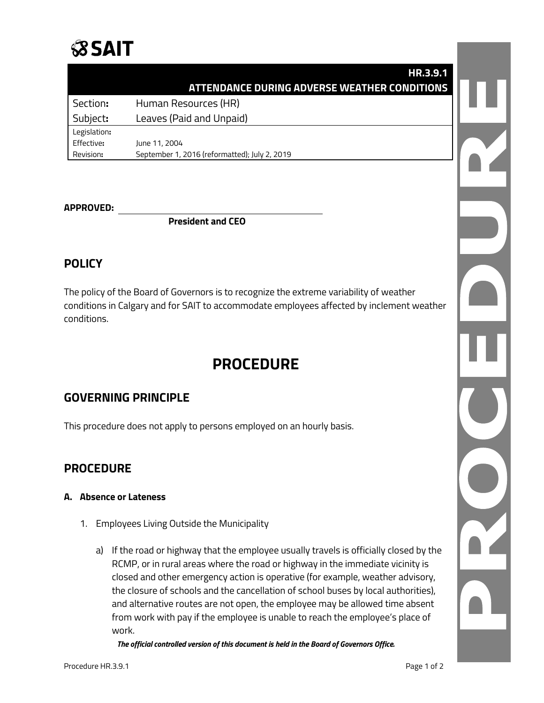

| HR.3.9.1                                                   |
|------------------------------------------------------------|
| ATTENDANCE DURING ADVERSE WEATHER CONDITIONS               |
| Section:<br>Human Resources (HR)                           |
| Leaves (Paid and Unpaid)<br>Subject:                       |
| Legislation:                                               |
| Effective:<br>June 11, 2004                                |
| Revision:<br>September 1, 2016 (reformatted); July 2, 2019 |
|                                                            |

#### **APPROVED:**

**President and CEO**

## **POLICY**

The policy of the Board of Governors is to recognize the extreme variability of weather conditions in Calgary and for SAIT to accommodate employees affected by inclement weather conditions.

# **PROCEDURE**

## **GOVERNING PRINCIPLE**

This procedure does not apply to persons employed on an hourly basis.

### **PROCEDURE**

#### **A. Absence or Lateness**

- 1. Employees Living Outside the Municipality
	- a) If the road or highway that the employee usually travels is officially closed by the RCMP, or in rural areas where the road or highway in the immediate vicinity is closed and other emergency action is operative (for example, weather advisory, the closure of schools and the cancellation of school buses by local authorities), and alternative routes are not open, the employee may be allowed time absent from work with pay if the employee is unable to reach the employee's place of work.

*The official controlled version of this document is held in the Board of Governors Office.*